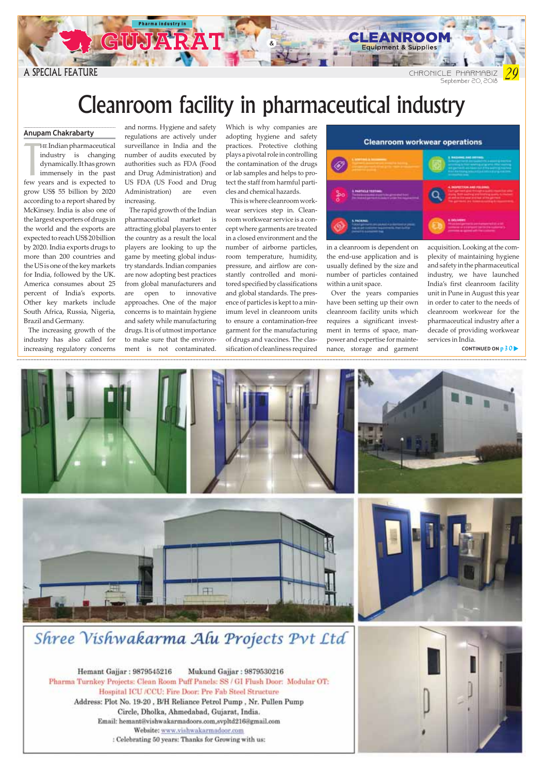

A GUJ

A SPECIAL FEATURE **CHRONICLE PHARMABIZ** 

## Cleanroom facility in pharmaceutical industry

## Anupam Chakrabarty

In multiplearmaceutical<br>industry is changing<br>dynamically.Ithas grown<br>immensely in the past<br>few years and is expected to HE Indian pharmaceutical industry is changing dynamically. It has grown immensely in the past grow US\$ 55 billion by 2020 according to a report shared by McKinsey. India is also one of the largest exporters of drugs in the world and the exports are expected to reach US\$ 20 billion by 2020. India exports drugs to more than 200 countries and the US is one of the key markets for India, followed by the UK. America consumes about 25 percent of India's exports. Other key markets include South Africa, Russia, Nigeria, Brazil and Germany.

The increasing growth of the industry has also called for increasing regulatory concerns and norms. Hygiene and safety regulations are actively under surveillance in India and the number of audits executed by authorities such as FDA (Food and Drug Administration) and US FDA (US Food and Drug Administration) are even increasing.

The rapid growth of the Indian pharmaceutical market is attracting global players to enter the country as a result the local players are looking to up the game by meeting global industry standards. Indian companies are now adopting best practices from global manufacturers and are open to innovative approaches. One of the major concerns is to maintain hygiene and safety while manufacturing drugs. It is of utmost importance to make sure that the environment is not contaminated.

Which is why companies are adopting hygiene and safety practices. Protective clothing plays a pivotal role in controlling the contamination of the drugs or lab samples and helps to protect the staff from harmful particles and chemical hazards.

This is where cleanroom workwear services step in. Cleanroom workwear service is a concept where garments are treated in a closed environment and the number of airborne particles, room temperature, humidity, pressure, and airflow are constantly controlled and monitored specified by classifications and global standards. The presence of particles is kept to a minimum level in cleanroom units to ensure a contamination-free garment for the manufacturing of drugs and vaccines. The classification of cleanliness required



CLEANROON Equipment & Supplies

in a cleanroom is dependent on the end-use application and is usually defined by the size and number of particles contained within a unit space.

Over the years companies have been setting up their own cleanroom facility units which requires a significant investment in terms of space, manpower and expertise for maintenance, storage and garment acquisition. Looking at the complexity of maintaining hygiene and safety in the pharmaceutical industry, we have launched India's first cleanroom facility unit in Pune in August this year in order to cater to the needs of cleanroom workwear for the pharmaceutical industry after a decade of providing workwear services in India.

CONTINUED ON  $p30$ 



## Shree Vishwakarma Alu Projects Pvt Ltd

Hemant Gajjar: 9879545216 Mukund Gajjar: 9879530216 Pharma Turnkey Projects: Clean Room Puff Panels: SS / GI Flush Door: Modular OT: Hospital ICU /CCU: Fire Door: Pre Fab Steel Structure Address: Plot No. 19-20, B/H Reliance Petrol Pump, Nr. Pullen Pump Circle, Dholka, Ahmedabad, Guiarat, India. Email: hemant@vishwakarmadoors.com,svpltd216@gmail.com Website: www.vishwakarmadoor.com : Celebrating 50 years: Thanks for Growing with us: